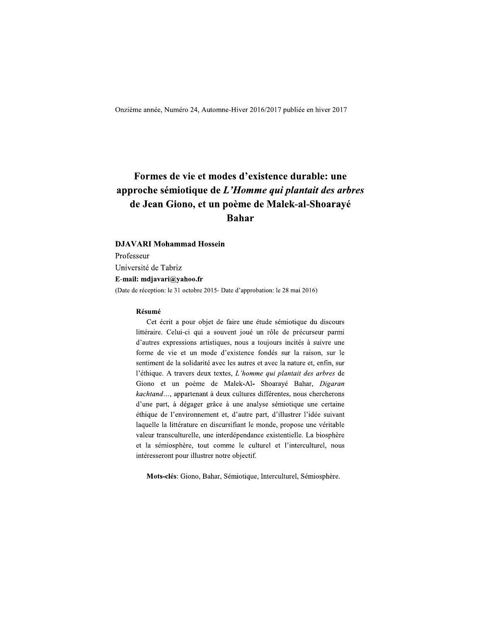Onzieme annee, Numero 24, A

# Onzième année, Numéro 24, Automne-Hiver 2016/2017 publiée en hiver 2017<br> **Formes de vie et modes d'existence durable: une<br>
approche sémiotique de L'Homme qui plantait des arbres<br>
de Jean Giono, et un poème de Malek-al-Shoa**

**Bahar**<br> **Professeur**<br>
Université de Tabriz<br> **E-mail:** mdjavari@yahoo.fr<br>
(Date de réception: le 31 octobre 2015- Date d'approbation: le 28 mai 2016)<br> **Résumé**<br>
Cet écrit a pour objet de faire une étude sémiotique du disco

d'autres expressions artistiques, nous a toujours incités à suivre une forme de vie et un mode d'existence fondes sur la raison, sur le  $\mathcal{S}$  sentiment de la solidarité avec les autres et avec la nature et, enfin, sur l'ethique. A travers deux textes,  $L$ 'homme qui plantait des arbres de Giono et un poème de Malek-Al- Shoarayé Bahar, *Digaran* kachtand..., appartenant a deux cultures differentes, nous chercherons d'une part, a degager grace à une analyse semiotique une certaine ethique de l'environnement et, d'autre part, d'illustrer l'idée suivant laquelle la littérature en discursifiant le monde, propose une veritable valeur transculturelle, une interdépendance existentielle. La biosphère et la sémiosphère, tout comme le culturel et l'interculturel, nous intéresseront pour illustrer notre objectif.

Mots-clès: Giono, Bahar, Semiotique, Interculturel, Semiosphère.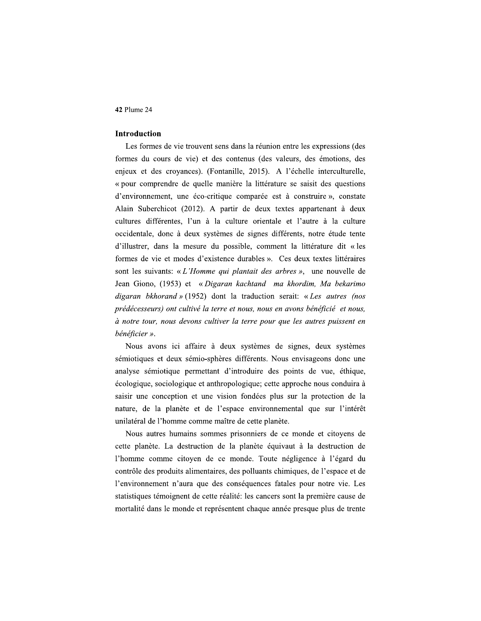# Introduction

Les formes de vie trouvent sens dans la réunion entre les expressions (des formes du cours de vie) et des contenus (des valeurs, des émotions, des enieux et des crovances). (Fontanille, 2015). A l'échelle interculturelle. 42 Plume 24<br>
Introduction<br>
Les formes de vie trouvent sens dans la 1<br>
formes du cours de vie) et des contenus<br>
enjeux et des croyances). (Fontanille, 20<br>
« pour comprendre de quelle manière la 1<br>
d'environnement, une éco-« pour comprendre de quelle manière la littérature se saisit des questions d'environnement, une éco-critique comparée est à construire », constate Alain Suberchicot (2012). A partir de deux textes appartenant à deux cultures différentes. l'un à la culture orientale et l'autre à la culture occidentale, donc à deux systèmes de signes différents, notre étude tente mes du cours de vie) et des contenus (des vales<br>
eux et des croyances). (Fontanille, 2015). A 1<br>
our comprendre de quelle manière la littérature<br>
nvironnement, une éco-critique comparée est à<br>
in Suberchicot (2012). A part d'illustrer, dans la mesure du possible, comment la littérature dit « les formes de vie et modes d'existence durables ». Ces deux textes littéraires sont les suivants: « L'Homme qui plantait des arbres », une nouvelle de Jean Giono, (1953) et « Digaran kachtand ma khordim. Ma bekarimo digaran bkhorand  $\psi$  (1952) dont la traduction serait: « Les autres (nos prédécesseurs) ont cultivé la terre et nous, nous en avons bénéficié et nous, à notre tour, nous devons cultiver la terre pour que les autres puissent en bénéficier ».

Nous avons ici affaire à deux systèmes de signes, deux s nts: « *L'Homme qui plantait des arbres* », une<br>
1953) et « *Digaran kachtand ma khordim*, *M*<br> *xand* » (1952) dont la traduction serait: « *Les*<br> *ont cultivé la terre et nous, nous en avons bénéficous devons cultiver la* des arbres », une nouvelle de<br>
nd ma khordim, Ma bekarimo<br>
ction serait: « Les autres (nos<br>
nous en avons bénéficié et nous,<br>
pour que les autres puissent en<br>
mes de signes, deux systèmes<br>
nts. Nous envisageons donc une<br>
r sémiotiques et deux sémio-sphères différents. Nous envisageons donc une digaran bkhorand » (1952) dont la traduction serait: « Les autres (nos<br>prédécesseurs) ont cultivé la terre et nous, nous en avons bénéficié et nous,<br>à notre tour, nous devons cultiver la terre pour que les autres puissent sémiotique permettant d'introduire des points de vue, éthique, ecologique, sociologique et anthropologique; cette approche nous conduira à saisir une conception et une vision fondées plus sur la protection de la nature, de la planète et de l'espace environnemental que sur l'intérêt unilatéral de l'homme comme maître de cette planète.

Nous autres humains sommes prisonniers de ce monde et citovens de nts. Nous envisageons donc une<br>
er des points de vue, éthique,<br>
e; cette approche nous conduira à<br>
es plus sur la protection de la<br>
vironnemental que sur l'intérêt<br>
e planète.<br>
ers de ce monde et citoyens de<br>
te équivaut à cette planète. La destruction de la planète équivaut à la destruction de l'homme comme citoven de ce monde. Toute négligence à l'égard du écologique, sociologique et anthropologique; ce<br>saisir une conception et une vision fondées<br>nature, de la planète et de l'espace environ<br>unilatéral de l'homme comme maître de cette pl<br>Nous autres humains sommes prisonniers contrôle des produits alimentaires, des polluants chimiques, de l'espace et de l'environnement n'aura que des conséquences fatales pour notre vie. Les statistiques témoignent de cette réalité: les cancers sont la première cause de mortalité dans le monde et représentent chaque année presque plus de trente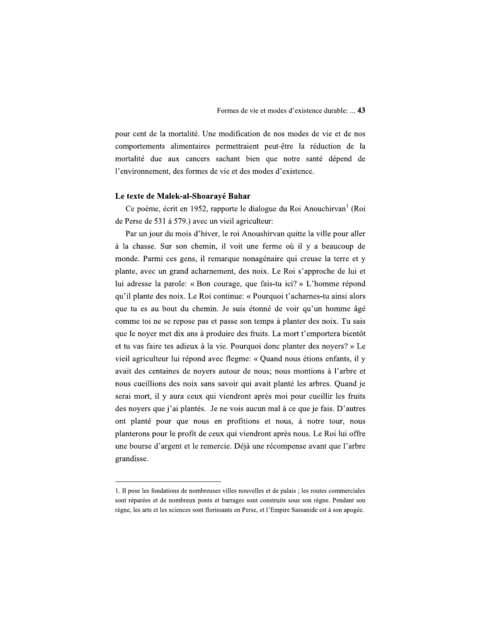pour cent de la mortalité. Une modification de nos modes de vie et de nos comportements alimentaires permettraient peut-être la réduction de la mortalité due aux cancers sachant bien que notre santé dépend de l'environnement, des formes de vie et des modes d'existence.

## Le texte de Malek-al-Shoarayé Bahar

Ce poème, écrit en 1952, rapporte le dialogue du Roi Anouchirvan<sup>1</sup> (Roi de Perse de 531 à 579.) avec un vieil agriculteur:

Par un jour du mois d'hiver, le roi Anoushirvan quitte la ville pour aller à la chasse. Sur son chemin, il voit une ferme où il y a beaucoup de monde. Parmi ces gens, il remarque nonagénaire qui creuse la terre et y plante, avec un grand acharnement, des noix. Le Roi s'approche de lui et lui adresse la parole: « Bon courage, que fais-tu ici? » L'homme répond qu'il plante des noix. Le Roi continue: « Pourquoi t'acharnes-tu ainsi alors que tu es au bout du chemin. Je suis étonné de voir qu'un homme âgé comme toi ne se repose pas et passe son temps à planter des noix. Tu sais que le noyer met dix ans à produire des fruits. La mort t'emportera bientôt et tu vas faire tes adieux à la vie. Pourquoi donc planter des noyers? » Le vieil agriculteur lui répond avec flegme: « Quand nous étions enfants, il y avait des centaines de noyers autour de nous; nous montions à l'arbre et nous cueillions des noix sans savoir qui avait planté les arbres. Quand je serai mort, il y aura ceux qui viendront après moi pour cueillir les fruits des noyers que j'ai plantés. Je ne vois aucun mal à ce que je fais. D'autres ont planté pour que nous en profitions et nous, à notre tour, nous planterons pour le profit de ceux qui viendront après nous. Le Roi lui offre une bourse d'argent et le remercie. Déjà une récompense avant que l'arbre grandisse.

<sup>1.</sup> Il pose les fondations de nombreuses villes nouvelles et de palais ; les routes commerciales sont réparées et de nombreux ponts et barrages sont construits sous son règne. Pendant son règne, les arts et les sciences sont florissants en Perse, et l'Empire Sassanide est à son apogée.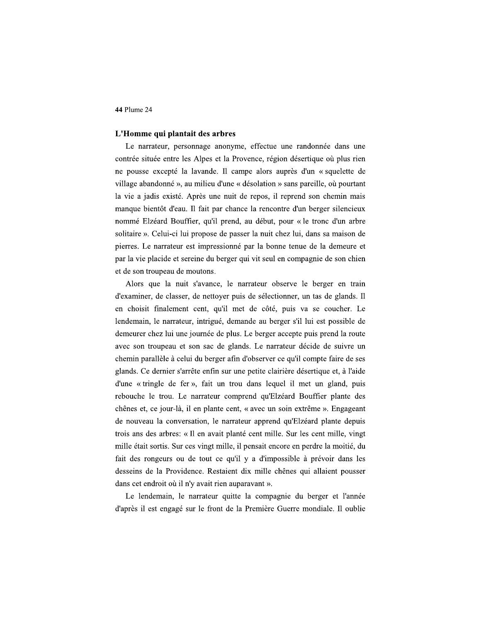# L'Homme qui plantait des arbres

Le narrateur, personnage anonyme, effectue une randonnée dans une contrée située entre les Alpes et la Provence, région désertique où plus rien ne pousse excepté la lavande. Il campe alors auprès d'un « squelette de village abandonné », au milieu d'une « désolation » sans pareille, où pourtant la vie a jadis existé. Après une nuit de repos, il reprend son chemin mais manque bientôt d'eau. Il fait par chance la rencontre d'un berger silencieux nommé Elzéard Bouffier, qu'il prend, au début, pour « le tronc d'un arbre solitaire ». Celui-ci lui propose de passer la nuit chez lui, dans sa maison de pierres. Le narrateur est impressionné par la bonne tenue de la demeure et par la vie placide et sereine du berger qui vit seul en compagnie de son chien et de son troupeau de moutons.

Alors que la nuit s'avance, le narrateur observe le berger en train d'examiner, de classer, de nettoyer puis de sélectionner, un tas de glands. Il en choisit finalement cent, qu'il met de côté, puis va se coucher. Le lendemain, le narrateur, intrigué, demande au berger s'il lui est possible de demeurer chez lui une journée de plus. Le berger accepte puis prend la route avec son troupeau et son sac de glands. Le narrateur décide de suivre un chemin parallèle à celui du berger afin d'observer ce qu'il compte faire de ses glands. Ce dernier s'arrête enfin sur une petite clairière désertique et, à l'aide d'une « tringle de fer », fait un trou dans lequel il met un gland, puis rebouche le trou. Le narrateur comprend qu'Elzéard Bouffier plante des chênes et, ce jour-là, il en plante cent, « avec un soin extrême ». Engageant de nouveau la conversation, le narrateur apprend qu'Elzéard plante depuis trois ans des arbres: « Il en avait planté cent mille. Sur les cent mille, vingt mille était sortis. Sur ces vingt mille, il pensait encore en perdre la moitié, du fait des rongeurs ou de tout ce qu'il y a d'impossible à prévoir dans les desseins de la Providence. Restaient dix mille chênes qui allaient pousser dans cet endroit où il n'y avait rien auparavant ».

Le lendemain, le narrateur quitte la compagnie du berger et l'année d'après il est engagé sur le front de la Première Guerre mondiale. Il oublie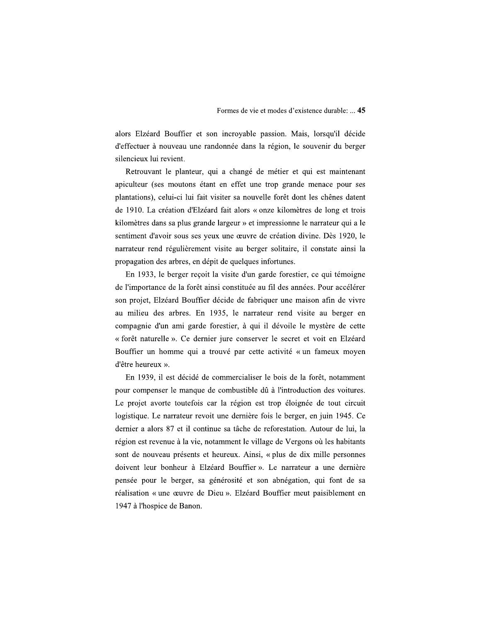alors Elzéard Bouffier et son incroyable passion. Mais, lorsqu'il décide d'effectuer à nouveau une randonnée dans la région, le souvenir du berger silencieux lui revient.

Retrouvant le planteur, qui a changé de métier et qui est maintenant apiculteur (ses moutons étant en effet une trop grande menace pour ses plantations), celui-ci lui fait visiter sa nouvelle forêt dont les chênes datent de 1910. La création d'Elzéard fait alors « onze kilomètres de long et trois kilomètres dans sa plus grande largeur » et impressionne le narrateur qui a le sentiment d'avoir sous ses yeux une œuvre de création divine. Dès 1920, le narrateur rend régulièrement visite au berger solitaire, il constate ainsi la propagation des arbres, en dépit de quelques infortunes.

En 1933, le berger reçoit la visite d'un garde forestier, ce qui témoigne de l'importance de la forêt ainsi constituée au fil des années. Pour accélérer son projet, Elzéard Bouffier décide de fabriquer une maison afin de vivre au milieu des arbres. En 1935, le narrateur rend visite au berger en compagnie d'un ami garde forestier, à qui il dévoile le mystère de cette « forêt naturelle ». Ce dernier jure conserver le secret et voit en Elzéard Bouffier un homme qui a trouvé par cette activité « un fameux moyen d'être heureux ».

En 1939, il est décidé de commercialiser le bois de la forêt, notamment pour compenser le manque de combustible dû à l'introduction des voitures. Le projet avorte toutefois car la région est trop éloignée de tout circuit logistique. Le narrateur revoit une dernière fois le berger, en juin 1945. Ce dernier a alors 87 et il continue sa tâche de reforestation. Autour de lui, la région est revenue à la vie, notamment le village de Vergons où les habitants sont de nouveau présents et heureux. Ainsi, « plus de dix mille personnes doivent leur bonheur à Elzéard Bouffier ». Le narrateur a une dernière pensée pour le berger, sa générosité et son abnégation, qui font de sa réalisation « une œuvre de Dieu ». Elzéard Bouffier meut paisiblement en 1947 à l'hospice de Banon.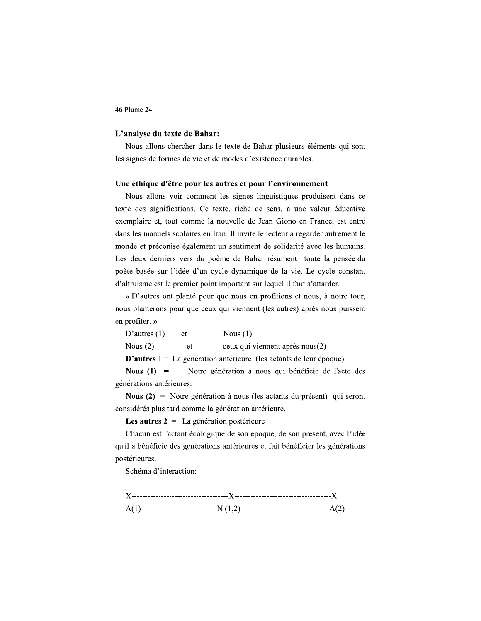# L'analyse du texte de Bahar:

Nous allons chercher dans le texte de Bahar plusieurs éléments qui sont les signes de formes de vie et de modes d'existence durables.

#### Une éthique d'être pour les autres et pour l'environnement

Nous allons voir comment les signes linguistiques produisent dans ce texte des significations. Ce texte, riche de sens, a une valeur éducative exemplaire et, tout comme la nouvelle de Jean Giono en France, est entré dans les manuels scolaires en Iran. Il invite le lecteur à regarder autrement le monde et préconise également un sentiment de solidarité avec les humains. Les deux derniers vers du poème de Bahar résument toute la pensée du poète basée sur l'idée d'un cycle dynamique de la vie. Le cycle constant d'altruisme est le premier point important sur lequel il faut s'attarder.

« D'autres ont planté pour que nous en profitions et nous, à notre tour, nous planterons pour que ceux qui viennent (les autres) après nous puissent en profiter. »

| D'autres $(1)$                                                              | et | Nous $(1)$                                          |  |  |
|-----------------------------------------------------------------------------|----|-----------------------------------------------------|--|--|
| Nous $(2)$                                                                  | et | ceux qui viennent après nous(2)                     |  |  |
| <b>D'autres</b> $1 = La$ génération antérieure (les actants de leur époque) |    |                                                     |  |  |
| Nous $(1)$ =                                                                |    | Notre génération à nous qui bénéficie de l'acte des |  |  |

qι générations antérieures.

**Nous (2)** = Notre génération à nous (les actants du présent) qui seront considérés plus tard comme la génération antérieure.

Les autres  $2 = La$  génération postérieure

Chacun est l'actant écologique de son époque, de son présent, avec l'idée qu'il a bénéficie des générations antérieures et fait bénéficier les générations postérieures.

Schéma d'interaction:

 $A(1)$  $N(1,2)$  $A(2)$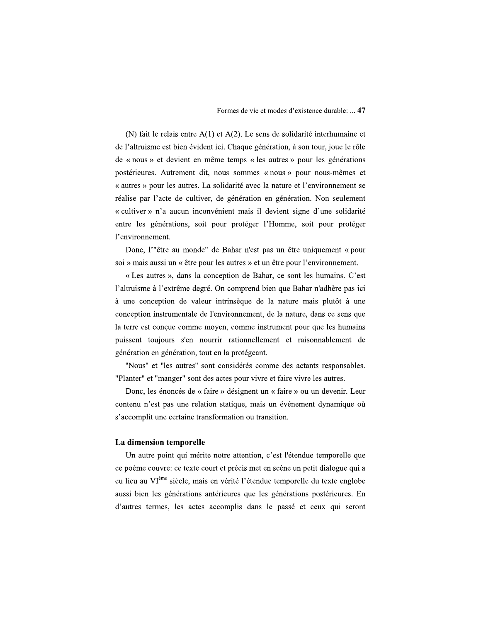(N) fait le relais entre  $A(1)$  et  $A(2)$ . Le sens de solidarité interhumaine et de l'altruisme est bien évident ici. Chaque génération, à son tour, joue le rôle de « nous » et devient en même temps « les autres » pour les générations postérieures. Autrement dit, nous sommes « nous » pour nous-mêmes et « autres » pour les autres. La solidarité avec la nature et l'environnement se réalise par l'acte de cultiver, de génération en génération. Non seulement « cultiver » n'a aucun inconvénient mais il devient signe d'une solidarité entre les générations, soit pour protéger l'Homme, soit pour protéger l'environnement.

Donc, l'"être au monde" de Bahar n'est pas un être uniquement « pour soi » mais aussi un « être pour les autres » et un être pour l'environnement.

« Les autres », dans la conception de Bahar, ce sont les humains. C'est l'altruisme à l'extrême degré. On comprend bien que Bahar n'adhère pas ici à une conception de valeur intrinsèque de la nature mais plutôt à une conception instrumentale de l'environnement, de la nature, dans ce sens que la terre est conçue comme moyen, comme instrument pour que les humains puissent toujours s'en nourrir rationnellement et raisonnablement de génération en génération, tout en la protégeant.

"Nous" et "les autres" sont considérés comme des actants responsables. "Planter" et "manger" sont des actes pour vivre et faire vivre les autres.

Donc, les énoncés de « faire » désignent un « faire » ou un devenir. Leur contenu n'est pas une relation statique, mais un événement dynamique où s'accomplit une certaine transformation ou transition.

#### La dimension temporelle

Un autre point qui mérite notre attention, c'est l'étendue temporelle que ce poème couvre: ce texte court et précis met en scène un petit dialogue qui a eu lieu au VI<sup>ème</sup> siècle, mais en vérité l'étendue temporelle du texte englobe aussi bien les générations antérieures que les générations postérieures. En d'autres termes, les actes accomplis dans le passé et ceux qui seront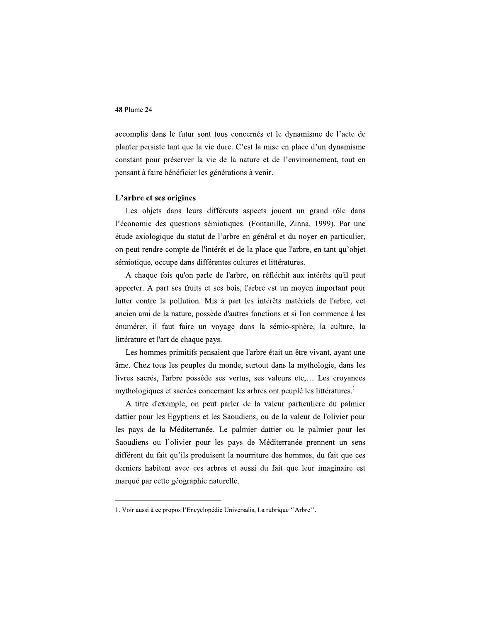accomplis dans le futur sont tous concernés et le dynamisme de l'acte de planter persiste tant que la vie dure. C'est la mise en place d'un dynamisme constant pour préserver la vie de la nature et de l'environnement, tout en pensant à faire bénéficier les générations à venir.

# L'arbre et ses origines

Les objets dans leurs différents aspects jouent un grand rôle dans l'économie des questions sémiotiques. (Fontanille, Zinna, 1999). Par une étude axiologique du statut de l'arbre en général et du noyer en particulier, on peut rendre compte de l'intérêt et de la place que l'arbre, en tant qu'objet sémiotique, occupe dans différentes cultures et littératures.

A chaque fois qu'on parle de l'arbre, on réfléchit aux intérêts qu'il peut apporter. A part ses fruits et ses bois, l'arbre est un moyen important pour lutter contre la pollution. Mis à part les intérêts matériels de l'arbre, cet ancien ami de la nature, possède d'autres fonctions et si l'on commence à les énumérer, il faut faire un voyage dans la sémio-sphère, la culture, la littérature et l'art de chaque pays.

Les hommes primitifs pensaient que l'arbre était un être vivant, ayant une âme. Chez tous les peuples du monde, surtout dans la mythologie, dans les livres sacrés, l'arbre possède ses vertus, ses valeurs etc,... Les croyances mythologiques et sacrées concernant les arbres ont peuplé les littératures.

A titre d'exemple, on peut parler de la valeur particulière du palmier dattier pour les Egyptiens et les Saoudiens, ou de la valeur de l'olivier pour les pays de la Méditerranée. Le palmier dattier ou le palmier pour les Saoudiens ou l'olivier pour les pays de Méditerranée prennent un sens différent du fait qu'ils produisent la nourriture des hommes, du fait que ces derniers habitent avec ces arbres et aussi du fait que leur imaginaire est marqué par cette géographie naturelle.

<sup>1.</sup> Voir aussi à ce propos l'Encyclopédie Universalis, La rubrique "Arbre".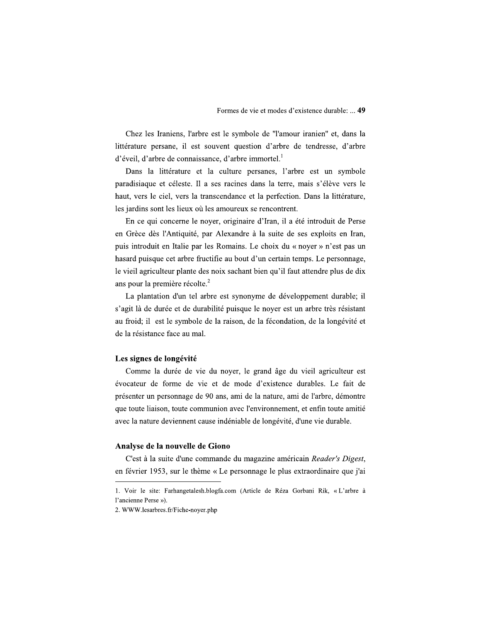Chez les Iraniens, l'arbre est le symbole de "l'amour iranien" et, dans la littérature persane, il est souvent question d'arbre de tendresse, d'arbre d'éveil, d'arbre de connaissance, d'arbre immortel.<sup>1</sup>

Dans la littérature et la culture persanes, l'arbre est un symbole paradisiaque et céleste. Il a ses racines dans la terre, mais s'élève vers le haut, vers le ciel, vers la transcendance et la perfection. Dans la littérature, les jardins sont les lieux où les amoureux se rencontrent.

En ce qui concerne le noyer, originaire d'Iran, il a été introduit de Perse en Grèce dès l'Antiquité, par Alexandre à la suite de ses exploits en Iran, puis introduit en Italie par les Romains. Le choix du « noyer » n'est pas un hasard puisque cet arbre fructifie au bout d'un certain temps. Le personnage, le vieil agriculteur plante des noix sachant bien qu'il faut attendre plus de dix ans pour la première récolte.<sup>2</sup>

La plantation d'un tel arbre est synonyme de développement durable; il s'agit là de durée et de durabilité puisque le noyer est un arbre très résistant au froid; il est le symbole de la raison, de la fécondation, de la longévité et de la résistance face au mal.

# Les signes de longévité

Comme la durée de vie du noyer, le grand âge du vieil agriculteur est évocateur de forme de vie et de mode d'existence durables. Le fait de présenter un personnage de 90 ans, ami de la nature, ami de l'arbre, démontre que toute liaison, toute communion avec l'environnement, et enfin toute amitié avec la nature deviennent cause indéniable de longévité, d'une vie durable.

## Analyse de la nouvelle de Giono

C'est à la suite d'une commande du magazine américain Reader's Digest, en février 1953, sur le thème « Le personnage le plus extraordinaire que j'ai

<sup>1.</sup> Voir le site: Farhangetalesh.blogfa.com (Article de Réza Gorbani Rik, « L'arbre à l'ancienne Perse »).

<sup>2.</sup> WWW.lesarbres.fr/Fiche-noyer.php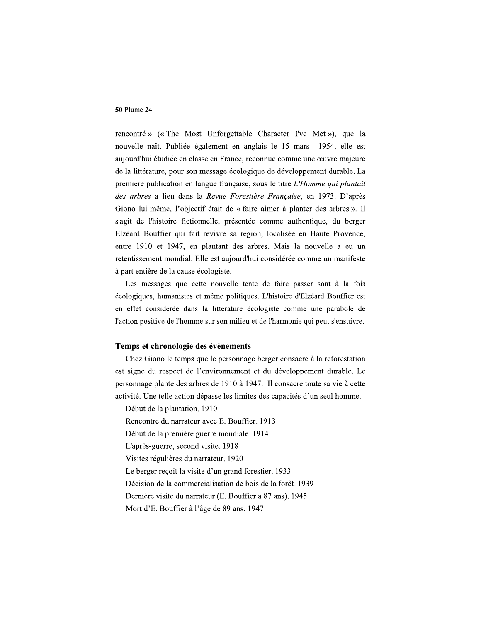rencontré » (« The Most Unforgettable Character I've Met »), que la nouvelle naît. Publiée également en anglais le 15 mars 1954, elle est aujourd'hui étudiée en classe en France, reconnue comme une œuvre majeure de la littérature, pour son message écologique de développement durable. La première publication en langue française, sous le titre L'Homme qui plantait des arbres a lieu dans la Revue Forestière Française, en 1973. D'après Giono lui-même, l'objectif était de « faire aimer à planter des arbres ». Il s'agit de l'histoire fictionnelle, présentée comme authentique, du berger Elzéard Bouffier qui fait revivre sa région, localisée en Haute Provence, entre 1910 et 1947, en plantant des arbres. Mais la nouvelle a eu un retentissement mondial. Elle est aujourd'hui considérée comme un manifeste à part entière de la cause écologiste.

Les messages que cette nouvelle tente de faire passer sont à la fois écologiques, humanistes et même politiques. L'histoire d'Elzéard Bouffier est en effet considérée dans la littérature écologiste comme une parabole de l'action positive de l'homme sur son milieu et de l'harmonie qui peut s'ensuivre.

# Temps et chronologie des évènements

Chez Giono le temps que le personnage berger consacre à la reforestation est signe du respect de l'environnement et du développement durable. Le personnage plante des arbres de 1910 à 1947. Il consacre toute sa vie à cette activité. Une telle action dépasse les limites des capacités d'un seul homme.

Début de la plantation. 1910

Rencontre du narrateur avec E. Bouffier. 1913

Début de la première guerre mondiale. 1914

L'après-guerre, second visite. 1918

Visites régulières du narrateur. 1920

Le berger recoit la visite d'un grand forestier. 1933

Décision de la commercialisation de bois de la forêt. 1939

Dernière visite du narrateur (E. Bouffier a 87 ans). 1945

Mort d'E. Bouffier à l'âge de 89 ans. 1947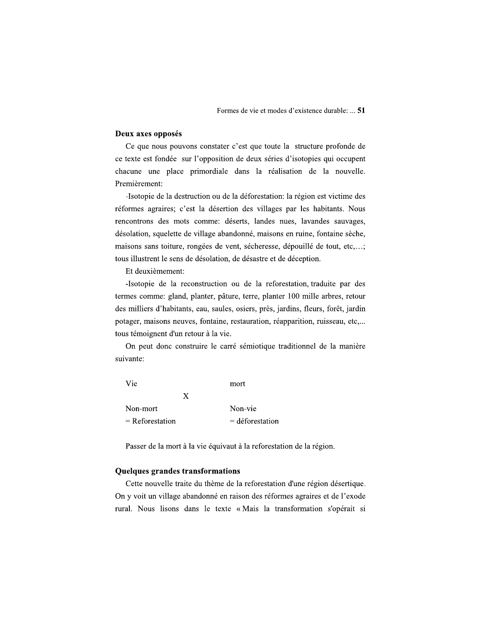# Deux axes opposés

Ce que nous pouvons constater c'est que toute la structure profonde de ce texte est fondée sur l'opposition de deux séries d'isotopies qui occupent chacune une place primordiale dans la réalisation de la nouvelle. Premièrement:

-Isotopie de la destruction ou de la déforestation: la région est victime des réformes agraires; c'est la désertion des villages par les habitants. Nous rencontrons des mots comme: déserts, landes nues, lavandes sauvages, désolation, squelette de village abandonné, maisons en ruine, fontaine sèche, maisons sans toiture, rongées de vent, sécheresse, dépouillé de tout, etc,...; tous illustrent le sens de désolation, de désastre et de déception.

Et deuxièmement:

-Isotopie de la reconstruction ou de la reforestation, traduite par des termes comme: gland, planter, pâture, terre, planter 100 mille arbres, retour des milliers d'habitants, eau, saules, osiers, près, jardins, fleurs, forêt, jardin potager, maisons neuves, fontaine, restauration, réapparition, ruisseau, etc,... tous témoignent d'un retour à la vie.

On peut donc construire le carré sémiotique traditionnel de la manière suivante:

| Vie               | mort              |
|-------------------|-------------------|
| X                 |                   |
| Non-mort          | Non-vie           |
| $=$ Reforestation | $=$ déforestation |

Passer de la mort à la vie équivaut à la reforestation de la région.

# **Quelques grandes transformations**

Cette nouvelle traite du thème de la reforestation d'une région désertique. On y voit un village abandonné en raison des réformes agraires et de l'exode rural. Nous lisons dans le texte « Mais la transformation s'opérait si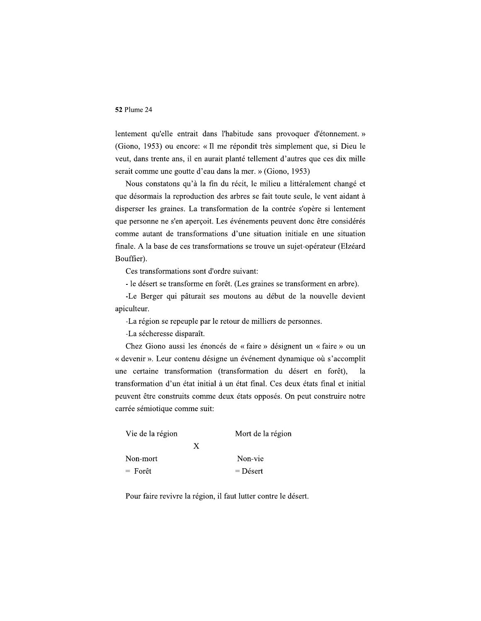lentement qu'elle entrait dans l'habitude sans provoquer d'étonnement. » (Giono, 1953) ou encore: « Il me répondit très simplement que, si Dieu le veut, dans trente ans, il en aurait planté tellement d'autres que ces dix mille serait comme une goutte d'eau dans la mer. » (Giono, 1953)

Nous constatons qu'à la fin du récit, le milieu a littéralement changé et que désormais la reproduction des arbres se fait toute seule, le vent aidant à disperser les graines. La transformation de la contrée s'opère si lentement que personne ne s'en aperçoit. Les événements peuvent donc être considérés comme autant de transformations d'une situation initiale en une situation finale. A la base de ces transformations se trouve un sujet-opérateur (Elzéard Bouffier).

Ces transformations sont d'ordre suivant:

- le désert se transforme en forêt. (Les graines se transforment en arbre).

-Le Berger qui pâturait ses moutons au début de la nouvelle devient apiculteur.

-La région se repeuple par le retour de milliers de personnes.

-La sécheresse disparaît.

Chez Giono aussi les énoncés de « faire » désignent un « faire » ou un « devenir ». Leur contenu désigne un événement dynamique où s'accomplit une certaine transformation (transformation du désert en forêt), la transformation d'un état initial à un état final. Ces deux états final et initial peuvent être construits comme deux états opposés. On peut construire notre carrée sémiotique comme suit:

|   | Mort de la région |
|---|-------------------|
| X |                   |
|   | Non-vie           |
|   | $=$ Désert        |
|   |                   |

Pour faire revivre la région, il faut lutter contre le désert.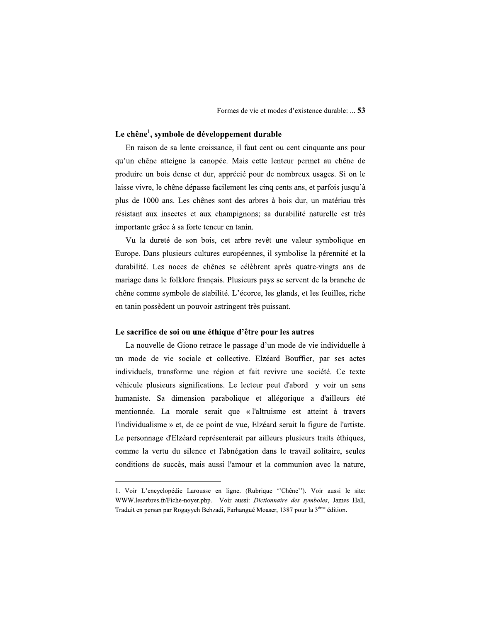# Le chêne<sup>1</sup>, symbole de développement durable

En raison de sa lente croissance, il faut cent ou cent cinquante ans pour qu'un chêne atteigne la canopée. Mais cette lenteur permet au chêne de produire un bois dense et dur, apprécié pour de nombreux usages. Si on le laisse vivre, le chêne dépasse facilement les cinq cents ans, et parfois jusqu'à plus de 1000 ans. Les chênes sont des arbres à bois dur, un matériau très résistant aux insectes et aux champignons; sa durabilité naturelle est très importante grâce à sa forte teneur en tanin.

Vu la dureté de son bois, cet arbre revêt une valeur symbolique en Europe. Dans plusieurs cultures européennes, il symbolise la pérennité et la durabilité. Les noces de chênes se célèbrent après quatre-vingts ans de mariage dans le folklore français. Plusieurs pays se servent de la branche de chêne comme symbole de stabilité. L'écorce, les glands, et les feuilles, riche en tanin possèdent un pouvoir astringent très puissant.

# Le sacrifice de soi ou une éthique d'être pour les autres

La nouvelle de Giono retrace le passage d'un mode de vie individuelle à un mode de vie sociale et collective. Elzéard Bouffier, par ses actes individuels, transforme une région et fait revivre une société. Ce texte véhicule plusieurs significations. Le lecteur peut d'abord y voir un sens humaniste. Sa dimension parabolique et allégorique a d'ailleurs été mentionnée. La morale serait que « l'altruisme est atteint à travers l'individualisme » et, de ce point de vue, Elzéard serait la figure de l'artiste. Le personnage d'Elzéard représenterait par ailleurs plusieurs traits éthiques, comme la vertu du silence et l'abnégation dans le travail solitaire, seules conditions de succès, mais aussi l'amour et la communion avec la nature,

<sup>1.</sup> Voir L'encyclopédie Larousse en ligne. (Rubrique "Chêne"). Voir aussi le site: WWW.lesarbres.fr/Fiche-noyer.php. Voir aussi: Dictionnaire des symboles, James Hall, Traduit en persan par Rogayyeh Behzadi, Farhangué Moaser, 1387 pour la 3<sup>ème</sup> édition.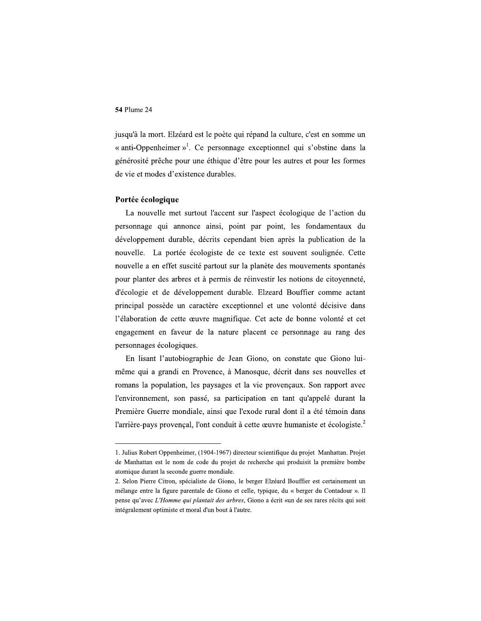jusqu'à la mort. Elzéard est le poète qui répand la culture, c'est en somme un « anti-Oppenheimer »<sup>1</sup>. Ce personnage exceptionnel qui s'obstine dans la générosité prêche pour une éthique d'être pour les autres et pour les formes de vie et modes d'existence durables.

# Portée écologique

La nouvelle met surtout l'accent sur l'aspect écologique de l'action du personnage qui annonce ainsi, point par point, les fondamentaux du développement durable, décrits cependant bien après la publication de la nouvelle. La portée écologiste de ce texte est souvent soulignée. Cette nouvelle a en effet suscité partout sur la planète des mouvements spontanés pour planter des arbres et à permis de réinvestir les notions de citoyenneté, d'écologie et de développement durable. Elzeard Bouffier comme actant principal possède un caractère exceptionnel et une volonté décisive dans l'élaboration de cette œuvre magnifique. Cet acte de bonne volonté et cet engagement en faveur de la nature placent ce personnage au rang des personnages écologiques.

En lisant l'autobiographie de Jean Giono, on constate que Giono luimême qui a grandi en Provence, à Manosque, décrit dans ses nouvelles et romans la population, les paysages et la vie provençaux. Son rapport avec l'environnement, son passé, sa participation en tant qu'appelé durant la Première Guerre mondiale, ainsi que l'exode rural dont il a été témoin dans l'arrière-pays provençal, l'ont conduit à cette œuvre humaniste et écologiste.<sup>2</sup>

<sup>1.</sup> Julius Robert Oppenheimer, (1904-1967) directeur scientifique du projet Manhattan. Projet de Manhattan est le nom de code du projet de recherche qui produisit la première bombe atomique durant la seconde guerre mondiale.

<sup>2.</sup> Selon Pierre Citron, spécialiste de Giono, le berger Elzéard Bouffier est certainement un mélange entre la figure parentale de Giono et celle, typique, du « berger du Contadour ». Il pense qu'avec L'Homme qui plantait des arbres, Giono a écrit «un de ses rares récits qui soit intégralement optimiste et moral d'un bout à l'autre.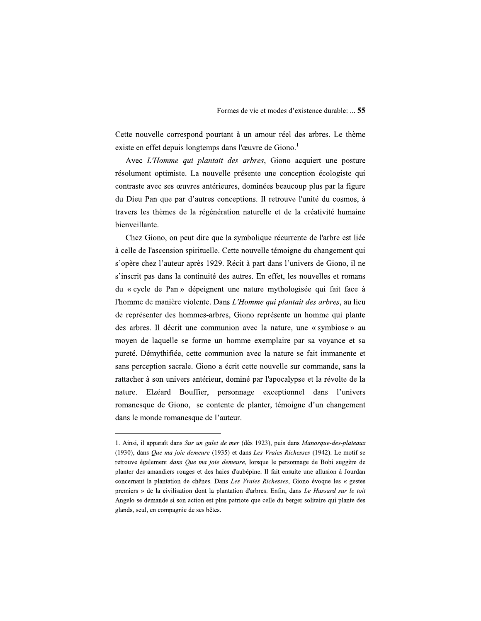Cette nouvelle correspond pourtant à un amour réel des arbres. Le thème existe en effet depuis longtemps dans l'œuvre de Giono.<sup>1</sup>

Avec L'Homme qui plantait des arbres, Giono acquiert une posture résolument optimiste. La nouvelle présente une conception écologiste qui contraste avec ses œuvres antérieures, dominées beaucoup plus par la figure du Dieu Pan que par d'autres conceptions. Il retrouve l'unité du cosmos, à travers les thèmes de la régénération naturelle et de la créativité humaine bienveillante.

Chez Giono, on peut dire que la symbolique récurrente de l'arbre est liée à celle de l'ascension spirituelle. Cette nouvelle témoigne du changement qui s'opère chez l'auteur après 1929. Récit à part dans l'univers de Giono, il ne s'inscrit pas dans la continuité des autres. En effet, les nouvelles et romans du « cycle de Pan » dépeignent une nature mythologisée qui fait face à l'homme de manière violente. Dans L'Homme qui plantait des arbres, au lieu de représenter des hommes-arbres, Giono représente un homme qui plante des arbres. Il décrit une communion avec la nature, une « symbiose » au moyen de laquelle se forme un homme exemplaire par sa voyance et sa pureté. Démythifiée, cette communion avec la nature se fait immanente et sans perception sacrale. Giono a écrit cette nouvelle sur commande, sans la rattacher à son univers antérieur, dominé par l'apocalypse et la révolte de la nature. Elzéard Bouffier, personnage exceptionnel dans l'univers romanesque de Giono, se contente de planter, témoigne d'un changement dans le monde romanesque de l'auteur.

<sup>1.</sup> Ainsi, il apparaît dans Sur un galet de mer (dès 1923), puis dans Manosque-des-plateaux (1930), dans Que ma joie demeure (1935) et dans Les Vraies Richesses (1942). Le motif se retrouve également dans Que ma joie demeure, lorsque le personnage de Bobi suggère de planter des amandiers rouges et des haies d'aubépine. Il fait ensuite une allusion à Jourdan concernant la plantation de chênes. Dans Les Vraies Richesses, Giono évoque les « gestes premiers » de la civilisation dont la plantation d'arbres. Enfin, dans Le Hussard sur le toit Angelo se demande si son action est plus patriote que celle du berger solitaire qui plante des glands, seul, en compagnie de ses bêtes.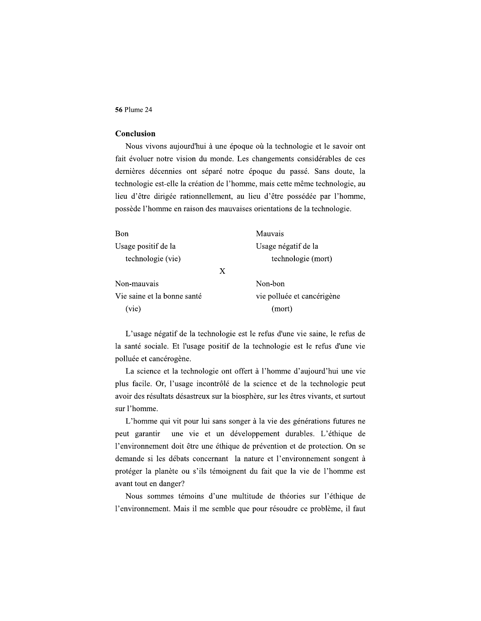# Conclusion

Nous vivons aujourd'hui à une époque où la technologie et le savoir ont fait évoluer notre vision du monde. Les changements considérables de ces dernières décennies ont séparé notre époque du passé. Sans doute, la technologie est-elle la création de l'homme, mais cette même technologie, au lieu d'être dirigée rationnellement, au lieu d'être possédée par l'homme, possède l'homme en raison des mauvaises orientations de la technologie.

| Bon                         | Mauvais                    |
|-----------------------------|----------------------------|
| Usage positif de la         | Usage négatif de la        |
| technologie (vie)           | technologie (mort)         |
|                             | X                          |
| Non-mauvais                 | Non-bon                    |
| Vie saine et la bonne santé | vie polluée et cancérigène |
| (vie)                       | (mort)                     |

L'usage négatif de la technologie est le refus d'une vie saine, le refus de la santé sociale. Et l'usage positif de la technologie est le refus d'une vie polluée et cancérogène.

La science et la technologie ont offert à l'homme d'aujourd'hui une vie plus facile. Or, l'usage incontrôlé de la science et de la technologie peut avoir des résultats désastreux sur la biosphère, sur les êtres vivants, et surtout sur l'homme.

L'homme qui vit pour lui sans songer à la vie des générations futures ne une vie et un développement durables. L'éthique de peut garantir l'environnement doit être une éthique de prévention et de protection. On se demande si les débats concernant la nature et l'environnement songent à protéger la planète ou s'ils témoignent du fait que la vie de l'homme est avant tout en danger?

Nous sommes témoins d'une multitude de théories sur l'éthique de l'environnement. Mais il me semble que pour résoudre ce problème, il faut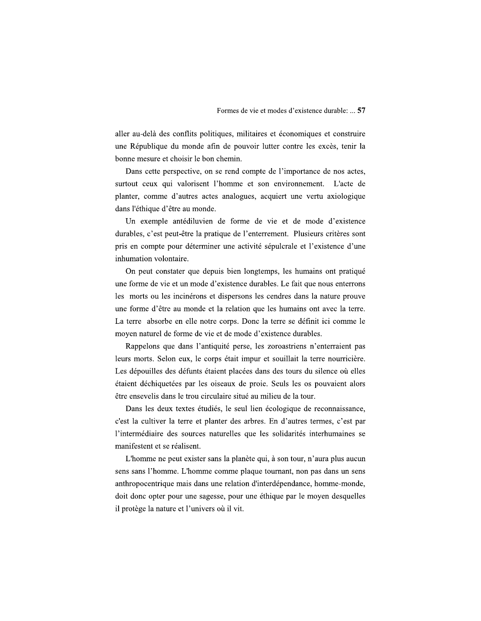aller au-delà des conflits politiques, militaires et économiques et construire une République du monde afin de pouvoir lutter contre les excès, tenir la bonne mesure et choisir le bon chemin.

Dans cette perspective, on se rend compte de l'importance de nos actes, surtout ceux qui valorisent l'homme et son environnement. L'acte de planter, comme d'autres actes analogues, acquiert une vertu axiologique dans l'éthique d'être au monde.

Un exemple antédiluvien de forme de vie et de mode d'existence durables, c'est peut-être la pratique de l'enterrement. Plusieurs critères sont pris en compte pour déterminer une activité sépulcrale et l'existence d'une inhumation volontaire.

On peut constater que depuis bien longtemps, les humains ont pratiqué une forme de vie et un mode d'existence durables. Le fait que nous enterrons les morts ou les incinérons et dispersons les cendres dans la nature prouve une forme d'être au monde et la relation que les humains ont avec la terre. La terre absorbe en elle notre corps. Donc la terre se définit ici comme le moyen naturel de forme de vie et de mode d'existence durables.

Rappelons que dans l'antiquité perse, les zoroastriens n'enterraient pas leurs morts. Selon eux, le corps était impur et souillait la terre nourricière. Les dépouilles des défunts étaient placées dans des tours du silence où elles étaient déchiquetées par les oiseaux de proie. Seuls les os pouvaient alors être ensevelis dans le trou circulaire situé au milieu de la tour.

Dans les deux textes étudiés, le seul lien écologique de reconnaissance, c'est la cultiver la terre et planter des arbres. En d'autres termes, c'est par l'intermédiaire des sources naturelles que les solidarités interhumaines se manifestent et se réalisent.

L'homme ne peut exister sans la planète qui, à son tour, n'aura plus aucun sens sans l'homme. L'homme comme plaque tournant, non pas dans un sens anthropocentrique mais dans une relation d'interdépendance, homme-monde, doit donc opter pour une sagesse, pour une éthique par le moyen desquelles il protège la nature et l'univers où il vit.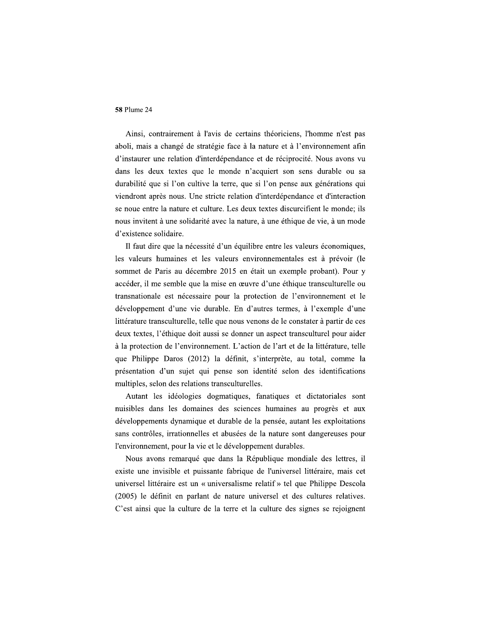Ainsi, contrairement à l'avis de certains théoriciens, l'homme n'est pas aboli, mais a changé de stratégie face à la nature et à l'environnement afin d'instaurer une relation d'interdépendance et de réciprocité. Nous avons vu dans les deux textes que le monde n'acquiert son sens durable ou sa durabilité que si l'on cultive la terre, que si l'on pense aux générations qui viendront après nous. Une stricte relation d'interdépendance et d'interaction se noue entre la nature et culture. Les deux textes discurcifient le monde; ils nous invitent à une solidarité avec la nature, à une éthique de vie, à un mode d'existence solidaire.

Il faut dire que la nécessité d'un équilibre entre les valeurs économiques, les valeurs humaines et les valeurs environnementales est à prévoir (le sommet de Paris au décembre 2015 en était un exemple probant). Pour y accéder, il me semble que la mise en œuvre d'une éthique transculturelle ou transnationale est nécessaire pour la protection de l'environnement et le développement d'une vie durable. En d'autres termes, à l'exemple d'une littérature transculturelle, telle que nous venons de le constater à partir de ces deux textes, l'éthique doit aussi se donner un aspect transculturel pour aider à la protection de l'environnement. L'action de l'art et de la littérature, telle que Philippe Daros (2012) la définit, s'interprète, au total, comme la présentation d'un sujet qui pense son identité selon des identifications multiples, selon des relations transculturelles.

Autant les idéologies dogmatiques, fanatiques et dictatoriales sont nuisibles dans les domaines des sciences humaines au progrès et aux développements dynamique et durable de la pensée, autant les exploitations sans contrôles, irrationnelles et abusées de la nature sont dangereuses pour l'environnement, pour la vie et le développement durables.

Nous avons remarqué que dans la République mondiale des lettres, il existe une invisible et puissante fabrique de l'universel littéraire, mais cet universel littéraire est un « universalisme relatif » tel que Philippe Descola (2005) le définit en parlant de nature universel et des cultures relatives. C'est ainsi que la culture de la terre et la culture des signes se rejoignent